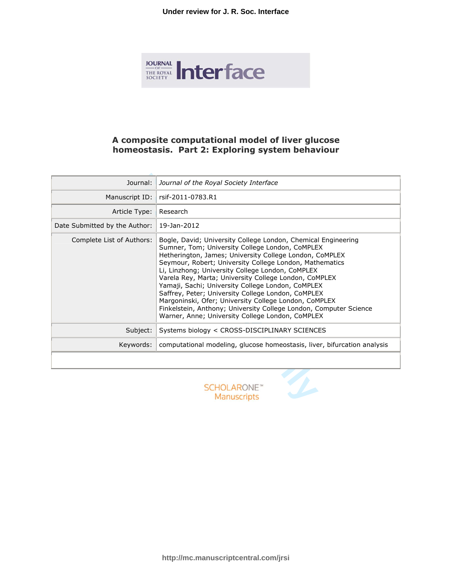

# **A composite computational model of liver glucose homeostasis. Part 2: Exploring system behaviour**

| Journal:                                             | Journal of the Royal Society Interface                                                                                                                                                                                                                                                                                                                                                                                                                                                                                                                                                                                                           |
|------------------------------------------------------|--------------------------------------------------------------------------------------------------------------------------------------------------------------------------------------------------------------------------------------------------------------------------------------------------------------------------------------------------------------------------------------------------------------------------------------------------------------------------------------------------------------------------------------------------------------------------------------------------------------------------------------------------|
| Manuscript ID:                                       | rsif-2011-0783.R1                                                                                                                                                                                                                                                                                                                                                                                                                                                                                                                                                                                                                                |
| Article Type:                                        | Research                                                                                                                                                                                                                                                                                                                                                                                                                                                                                                                                                                                                                                         |
| Date Submitted by the Author:                        | 19-Jan-2012                                                                                                                                                                                                                                                                                                                                                                                                                                                                                                                                                                                                                                      |
| Complete List of Authors:                            | Bogle, David; University College London, Chemical Engineering<br>Sumner, Tom; University College London, CoMPLEX<br>Hetherington, James; University College London, CoMPLEX<br>Seymour, Robert; University College London, Mathematics<br>Li, Linzhong; University College London, CoMPLEX<br>Varela Rey, Marta; University College London, CoMPLEX<br>Yamaji, Sachi; University College London, CoMPLEX<br>Saffrey, Peter; University College London, CoMPLEX<br>Margoninski, Ofer; University College London, CoMPLEX<br>Finkelstein, Anthony; University College London, Computer Science<br>Warner, Anne; University College London, CoMPLEX |
| Subject:                                             | Systems biology < CROSS-DISCIPLINARY SCIENCES                                                                                                                                                                                                                                                                                                                                                                                                                                                                                                                                                                                                    |
| Keywords:                                            | computational modeling, glucose homeostasis, liver, bifurcation analysis                                                                                                                                                                                                                                                                                                                                                                                                                                                                                                                                                                         |
|                                                      |                                                                                                                                                                                                                                                                                                                                                                                                                                                                                                                                                                                                                                                  |
| <b>SCHOLARONE</b> <sup>®</sup><br><b>Manuscripts</b> |                                                                                                                                                                                                                                                                                                                                                                                                                                                                                                                                                                                                                                                  |



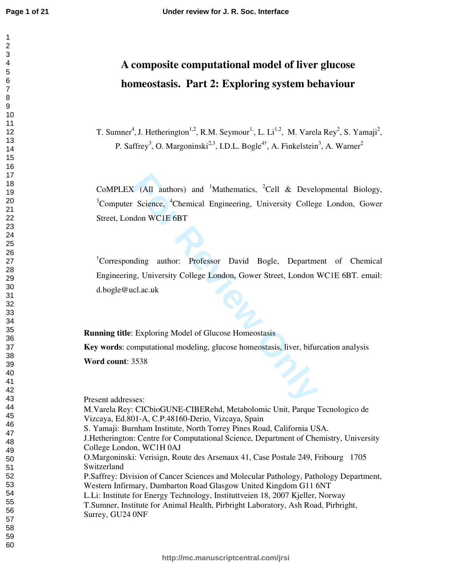# **A composite computational model of liver glucose homeostasis. Part 2: Exploring system behaviour**

T. Sumner<sup>4</sup>, J. Hetherington<sup>1,2</sup>, R.M. Seymour<sup>1,</sup>, L. Li<sup>1,2</sup>, M. Varela Rey<sup>2</sup>, S. Yamaji<sup>2</sup>, P. Saffrey<sup>3</sup>, O. Margoninski<sup>2,3</sup>, I.D.L. Bogle<sup>4†</sup>, A. Finkelstein<sup>3</sup>, A. Warner<sup>2</sup>

**For Form CONTROVIDY ASSEMALATE SCALE ASSAURATE SCALE ASSAURANCE CORRECT ACTE CORRECT AND MODEL CORRECT ACTION ON CLACTIVE COLLEGE LONDON, Gower Street, London 1<br>
<b>For Review Only COLLEGE LONDON, Gower Street, London 1**<br> CoMPLEX (All authors) and <sup>1</sup>Mathematics, <sup>2</sup>Cell & Developmental Biology, <sup>3</sup>Computer Science, <sup>4</sup>Chemical Engineering, University College London, Gower Street, London WC1E 6BT

†Corresponding author: Professor David Bogle, Department of Chemical Engineering, University College London, Gower Street, London WC1E 6BT. email: d.bogle@ucl.ac.uk

**Running title:** Exploring Model of Glucose Homeostasis

**Key words**: computational modeling, glucose homeostasis, liver, bifurcation analysis **Word count**: 3538

Present addresses:

M.Varela Rey: CICbioGUNE-CIBERehd, Metabolomic Unit, Parque Tecnologico de Vizcaya, Ed.801-A, C.P.48160-Derio, Vizcaya, Spain

S. Yamaji: Burnham Institute, North Torrey Pines Road, California USA.

J.Hetherington: Centre for Computational Science, Department of Chemistry, University College London, WC1H 0AJ

O.Margoninski: Verisign, Route des Arsenaux 41, Case Postale 249, Fribourg 1705 Switzerland

P.Saffrey: Division of Cancer Sciences and Molecular Pathology, Pathology Department, Western Infirmary, Dumbarton Road Glasgow United Kingdom G11 6NT

L.Li: Institute for Energy Technology, Instituttveien 18, 2007 Kjeller, Norway

T.Sumner, Institute for Animal Health, Pirbright Laboratory, Ash Road, Pirbright, Surrey, GU24 0NF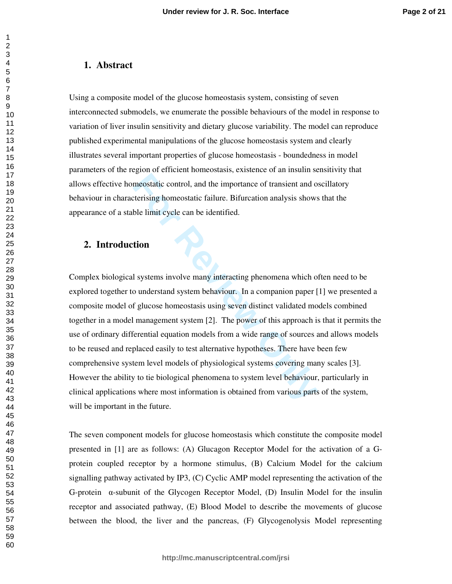## **1. Abstract**

Using a composite model of the glucose homeostasis system, consisting of seven interconnected submodels, we enumerate the possible behaviours of the model in response to variation of liver insulin sensitivity and dietary glucose variability. The model can reproduce published experimental manipulations of the glucose homeostasis system and clearly illustrates several important properties of glucose homeostasis - boundedness in model parameters of the region of efficient homeostasis, existence of an insulin sensitivity that allows effective homeostatic control, and the importance of transient and oscillatory behaviour in characterising homeostatic failure. Bifurcation analysis shows that the appearance of a stable limit cycle can be identified.

# **2. Introduction**

**Example 12**<br> **Example 12**<br> **Formalist Control, and the importance of transient and of<br>
<b>Formalist Conduct Conducts** Characterize Connection<br> **Formalist Conducts**<br> **Formalist Conducts**<br> **Formalist Conducts**<br> **Formalist Con** Complex biological systems involve many interacting phenomena which often need to be explored together to understand system behaviour. In a companion paper [1] we presented a composite model of glucose homeostasis using seven distinct validated models combined together in a model management system [2]. The power of this approach is that it permits the use of ordinary differential equation models from a wide range of sources and allows models to be reused and replaced easily to test alternative hypotheses. There have been few comprehensive system level models of physiological systems covering many scales [3]. However the ability to tie biological phenomena to system level behaviour, particularly in clinical applications where most information is obtained from various parts of the system, will be important in the future.

The seven component models for glucose homeostasis which constitute the composite model presented in [1] are as follows: (A) Glucagon Receptor Model for the activation of a Gprotein coupled receptor by a hormone stimulus, (B) Calcium Model for the calcium signalling pathway activated by IP3, (C) Cyclic AMP model representing the activation of the G-protein α-subunit of the Glycogen Receptor Model, (D) Insulin Model for the insulin receptor and associated pathway, (E) Blood Model to describe the movements of glucose between the blood, the liver and the pancreas, (F) Glycogenolysis Model representing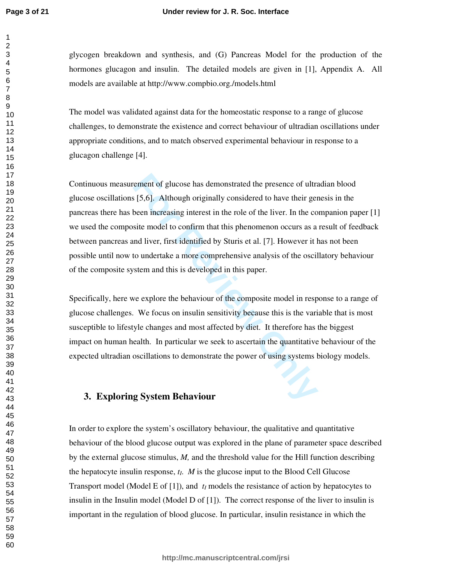#### **Under review for J. R. Soc. Interface**

glycogen breakdown and synthesis, and (G) Pancreas Model for the production of the hormones glucagon and insulin. The detailed models are given in [1], Appendix A. All models are available at http://www.compbio.org./models.html

The model was validated against data for the homeostatic response to a range of glucose challenges, to demonstrate the existence and correct behaviour of ultradian oscillations under appropriate conditions, and to match observed experimental behaviour in response to a glucagon challenge [4].

rement of glucose has demonstrated the presence of ultrated [5,6]. Although originally considered to have their gentleen increasing interest in the role of the liver. In the cosite model to confirm that this phenomenon occ Continuous measurement of glucose has demonstrated the presence of ultradian blood glucose oscillations [5,6]. Although originally considered to have their genesis in the pancreas there has been increasing interest in the role of the liver. In the companion paper [1] we used the composite model to confirm that this phenomenon occurs as a result of feedback between pancreas and liver, first identified by Sturis et al. [7]. However it has not been possible until now to undertake a more comprehensive analysis of the oscillatory behaviour of the composite system and this is developed in this paper.

Specifically, here we explore the behaviour of the composite model in response to a range of glucose challenges. We focus on insulin sensitivity because this is the variable that is most susceptible to lifestyle changes and most affected by diet. It therefore has the biggest impact on human health. In particular we seek to ascertain the quantitative behaviour of the expected ultradian oscillations to demonstrate the power of using systems biology models.

### **3. Exploring System Behaviour**

In order to explore the system's oscillatory behaviour, the qualitative and quantitative behaviour of the blood glucose output was explored in the plane of parameter space described by the external glucose stimulus, *M,* and the threshold value for the Hill function describing the hepatocyte insulin response,  $t_I$ . *M* is the glucose input to the Blood Cell Glucose Transport model (Model E of [1]), and  $t_I$  models the resistance of action by hepatocytes to insulin in the Insulin model (Model D of [1]). The correct response of the liver to insulin is important in the regulation of blood glucose. In particular, insulin resistance in which the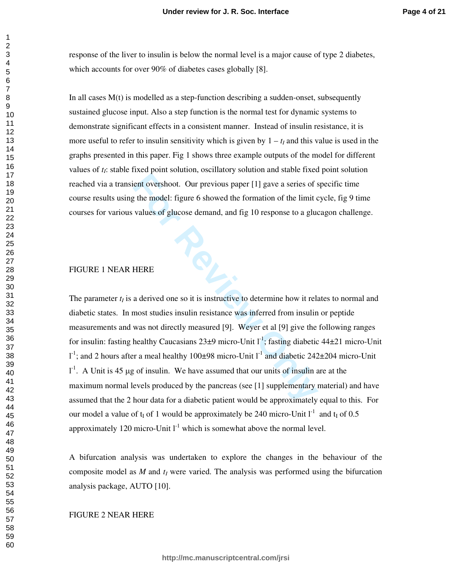response of the liver to insulin is below the normal level is a major cause of type 2 diabetes, which accounts for over 90% of diabetes cases globally [8].

In all cases  $M(t)$  is modelled as a step-function describing a sudden-onset, subsequently sustained glucose input. Also a step function is the normal test for dynamic systems to demonstrate significant effects in a consistent manner. Instead of insulin resistance, it is more useful to refer to insulin sensitivity which is given by  $1 - t_I$  and this value is used in the graphs presented in this paper. Fig 1 shows three example outputs of the model for different values of *tI*: stable fixed point solution, oscillatory solution and stable fixed point solution reached via a transient overshoot. Our previous paper [1] gave a series of specific time course results using the model: figure 6 showed the formation of the limit cycle, fig 9 time courses for various values of glucose demand, and fig 10 response to a glucagon challenge.

#### FIGURE 1 NEAR HERE

The model: figure 6 showed the formation of the limit of the model: figure 6 showed the formation of the limit of values of glucose demand, and fig 10 response to a glucal values of glucose demand, and fig 10 response to a The parameter  $t_I$  is a derived one so it is instructive to determine how it relates to normal and diabetic states. In most studies insulin resistance was inferred from insulin or peptide measurements and was not directly measured [9]. Weyer et al [9] give the following ranges for insulin: fasting healthy Caucasians  $23\pm9$  micro-Unit l<sup>-1</sup>; fasting diabetic  $44\pm21$  micro-Unit l<sup>-1</sup>; and 2 hours after a meal healthy 100 $\pm98$  micro-Unit l<sup>-1</sup> and diabetic 242 $\pm204$  micro-Unit  $1<sup>-1</sup>$ . A Unit is 45 µg of insulin. We have assumed that our units of insulin are at the maximum normal levels produced by the pancreas (see [1] supplementary material) and have assumed that the 2 hour data for a diabetic patient would be approximately equal to this. For our model a value of  $t_I$  of 1 would be approximately be 240 micro-Unit  $I^1$  and  $t_I$  of 0.5 approximately 120 micro-Unit  $I<sup>-1</sup>$  which is somewhat above the normal level.

A bifurcation analysis was undertaken to explore the changes in the behaviour of the composite model as  $M$  and  $t_I$  were varied. The analysis was performed using the bifurcation analysis package, AUTO [10].

### FIGURE 2 NEAR HERE

 $\mathbf{1}$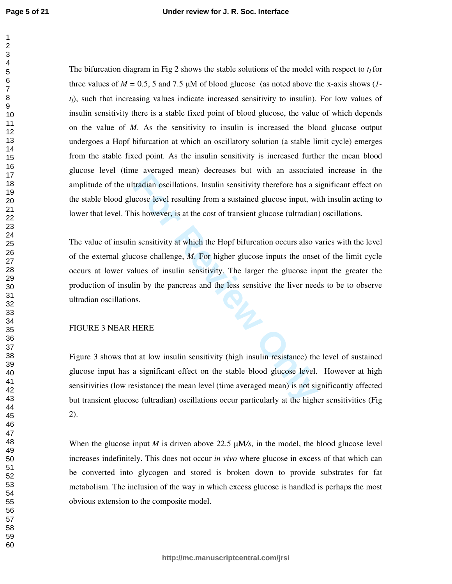The bifurcation diagram in Fig 2 shows the stable solutions of the model with respect to  $t_I$  for three values of  $M = 0.5$ , 5 and 7.5  $\mu$ M of blood glucose (as noted above the x-axis shows (*1tI*), such that increasing values indicate increased sensitivity to insulin). For low values of insulin sensitivity there is a stable fixed point of blood glucose, the value of which depends on the value of *M*. As the sensitivity to insulin is increased the blood glucose output undergoes a Hopf bifurcation at which an oscillatory solution (a stable limit cycle) emerges from the stable fixed point. As the insulin sensitivity is increased further the mean blood glucose level (time averaged mean) decreases but with an associated increase in the amplitude of the ultradian oscillations. Insulin sensitivity therefore has a significant effect on the stable blood glucose level resulting from a sustained glucose input, with insulin acting to lower that level. This however, is at the cost of transient glucose (ultradian) oscillations.

**EXECUTE:**<br> **For Formal Constant Constant Constant Constant Constant Constant Constant Constant Constant Constant Constant Constant Constant Constant Property is a state cost of transient glucose (ultradian n sensitivity a** The value of insulin sensitivity at which the Hopf bifurcation occurs also varies with the level of the external glucose challenge, *M*. For higher glucose inputs the onset of the limit cycle occurs at lower values of insulin sensitivity. The larger the glucose input the greater the production of insulin by the pancreas and the less sensitive the liver needs to be to observe ultradian oscillations.

#### FIGURE 3 NEAR HERE

Figure 3 shows that at low insulin sensitivity (high insulin resistance) the level of sustained glucose input has a significant effect on the stable blood glucose level. However at high sensitivities (low resistance) the mean level (time averaged mean) is not significantly affected but transient glucose (ultradian) oscillations occur particularly at the higher sensitivities (Fig 2).

When the glucose input  $M$  is driven above 22.5  $\mu$ M/s, in the model, the blood glucose level increases indefinitely. This does not occur *in vivo* where glucose in excess of that which can be converted into glycogen and stored is broken down to provide substrates for fat metabolism. The inclusion of the way in which excess glucose is handled is perhaps the most obvious extension to the composite model.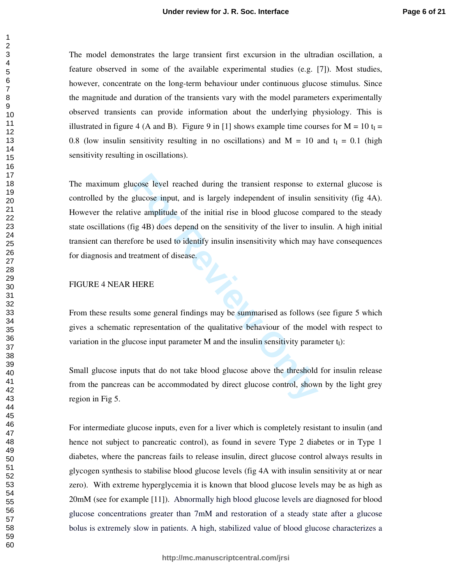The model demonstrates the large transient first excursion in the ultradian oscillation, a feature observed in some of the available experimental studies (e.g. [7]). Most studies, however, concentrate on the long-term behaviour under continuous glucose stimulus. Since the magnitude and duration of the transients vary with the model parameters experimentally observed transients can provide information about the underlying physiology. This is illustrated in figure 4 (A and B). Figure 9 in [1] shows example time courses for  $M = 10$  t<sub>I</sub> = 0.8 (low insulin sensitivity resulting in no oscillations) and  $M = 10$  and  $t<sub>I</sub> = 0.1$  (high sensitivity resulting in oscillations).

For Four Case level reached during the transient response to explusion and is largely independent of insulin size amplitude of the initial rise in blood glucose companity and the sensitivity of the liver to instinct the si The maximum glucose level reached during the transient response to external glucose is controlled by the glucose input, and is largely independent of insulin sensitivity (fig 4A). However the relative amplitude of the initial rise in blood glucose compared to the steady state oscillations (fig 4B) does depend on the sensitivity of the liver to insulin. A high initial transient can therefore be used to identify insulin insensitivity which may have consequences for diagnosis and treatment of disease.

#### FIGURE 4 NEAR HERE

From these results some general findings may be summarised as follows (see figure 5 which gives a schematic representation of the qualitative behaviour of the model with respect to variation in the glucose input parameter M and the insulin sensitivity parameter  $t_1$ :

Small glucose inputs that do not take blood glucose above the threshold for insulin release from the pancreas can be accommodated by direct glucose control, shown by the light grey region in Fig 5.

For intermediate glucose inputs, even for a liver which is completely resistant to insulin (and hence not subject to pancreatic control), as found in severe Type 2 diabetes or in Type 1 diabetes, where the pancreas fails to release insulin, direct glucose control always results in glycogen synthesis to stabilise blood glucose levels (fig 4A with insulin sensitivity at or near zero). With extreme hyperglycemia it is known that blood glucose levels may be as high as 20mM (see for example [11]). Abnormally high blood glucose levels are diagnosed for blood glucose concentrations greater than 7mM and restoration of a steady state after a glucose bolus is extremely slow in patients. A high, stabilized value of blood glucose characterizes a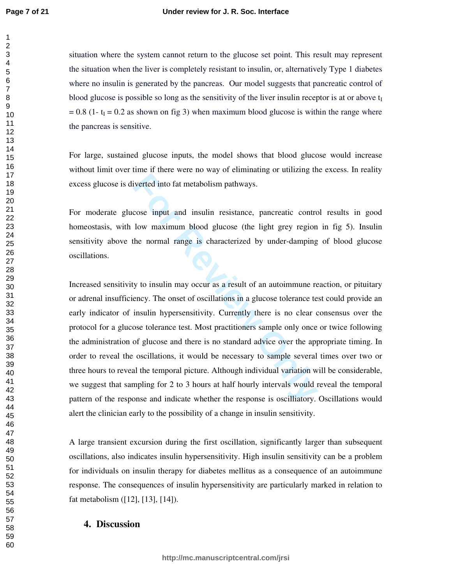situation where the system cannot return to the glucose set point. This result may represent the situation when the liver is completely resistant to insulin, or, alternatively Type 1 diabetes where no insulin is generated by the pancreas. Our model suggests that pancreatic control of blood glucose is possible so long as the sensitivity of the liver insulin receptor is at or above t I  $= 0.8$  (1-  $t_I = 0.2$  as shown on fig 3) when maximum blood glucose is within the range where the pancreas is sensitive.

For large, sustained glucose inputs, the model shows that blood glucose would increase without limit over time if there were no way of eliminating or utilizing the excess. In reality excess glucose is diverted into fat metabolism pathways.

For moderate glucose input and insulin resistance, pancreatic control results in good homeostasis, with low maximum blood glucose (the light grey region in fig 5). Insulin sensitivity above the normal range is characterized by under-damping of blood glucose oscillations.

iverted into fat metabolism pathways.<br> **For Formal All Example 19 and insulin** resistance, pancreatic control<br>
bow maximum blood glucose (the light grey region<br>
the normal range is characterized by under-damping<br>
y to insu Increased sensitivity to insulin may occur as a result of an autoimmune reaction, or pituitary or adrenal insufficiency. The onset of oscillations in a glucose tolerance test could provide an early indicator of insulin hypersensitivity. Currently there is no clear consensus over the protocol for a glucose tolerance test. Most practitioners sample only once or twice following the administration of glucose and there is no standard advice over the appropriate timing. In order to reveal the oscillations, it would be necessary to sample several times over two or three hours to reveal the temporal picture. Although individual variation will be considerable, we suggest that sampling for 2 to 3 hours at half hourly intervals would reveal the temporal pattern of the response and indicate whether the response is oscilliatory. Oscillations would alert the clinician early to the possibility of a change in insulin sensitivity.

A large transient excursion during the first oscillation, significantly larger than subsequent oscillations, also indicates insulin hypersensitivity. High insulin sensitivity can be a problem for individuals on insulin therapy for diabetes mellitus as a consequence of an autoimmune response. The consequences of insulin hypersensitivity are particularly marked in relation to fat metabolism ([12], [13], [14]).

# **4. Discussion**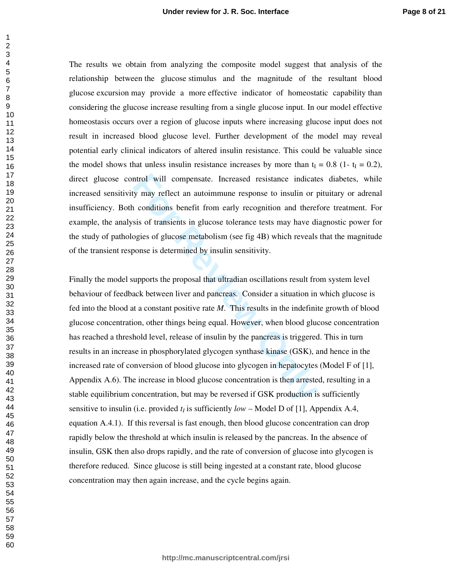The results we obtain from analyzing the composite model suggest that analysis of the relationship between the glucose stimulus and the magnitude of the resultant blood glucose excursion may provide a more effective indicator of homeostatic capability than considering the glucose increase resulting from a single glucose input. In our model effective homeostasis occurs over a region of glucose inputs where increasing glucose input does not result in increased blood glucose level. Further development of the model may reveal potential early clinical indicators of altered insulin resistance. This could be valuable since the model shows that unless insulin resistance increases by more than  $t_1 = 0.8$  (1- $t_1 = 0.2$ ), direct glucose control will compensate. Increased resistance indicates diabetes, while increased sensitivity may reflect an autoimmune response to insulin or pituitary or adrenal insufficiency. Both conditions benefit from early recognition and therefore treatment. For example, the analysis of transients in glucose tolerance tests may have diagnostic power for the study of pathologies of glucose metabolism (see fig 4B) which reveals that the magnitude of the transient response is determined by insulin sensitivity.

ntrol will compensate. Increased resistance indicate y may reflect an autoimmune response to insulin or p conditions benefit from early recognition and there sis of transients in glucose tolerance tests may have diogies of Finally the model supports the proposal that ultradian oscillations result from system level behaviour of feedback between liver and pancreas. Consider a situation in which glucose is fed into the blood at a constant positive rate *M*. This results in the indefinite growth of blood glucose concentration, other things being equal. However, when blood glucose concentration has reached a threshold level, release of insulin by the pancreas is triggered. This in turn results in an increase in phosphorylated glycogen synthase kinase (GSK), and hence in the increased rate of conversion of blood glucose into glycogen in hepatocytes (Model F of [1], Appendix A.6). The increase in blood glucose concentration is then arrested, resulting in a stable equilibrium concentration, but may be reversed if GSK production is sufficiently sensitive to insulin (i.e. provided  $t_I$  is sufficiently  $low$  – Model D of [1], Appendix A.4, equation A.4.1). If this reversal is fast enough, then blood glucose concentration can drop rapidly below the threshold at which insulin is released by the pancreas. In the absence of insulin, GSK then also drops rapidly, and the rate of conversion of glucose into glycogen is therefore reduced. Since glucose is still being ingested at a constant rate, blood glucose concentration may then again increase, and the cycle begins again.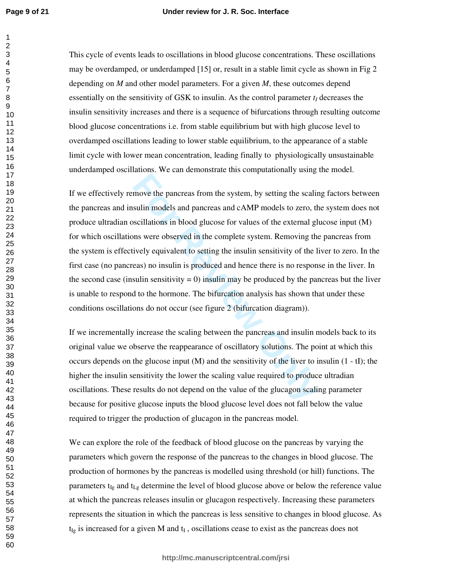This cycle of events leads to oscillations in blood glucose concentrations. These oscillations may be overdamped, or underdamped [15] or, result in a stable limit cycle as shown in Fig 2 depending on *M* and other model parameters. For a given *M*, these outcomes depend essentially on the sensitivity of GSK to insulin. As the control parameter *t<sup>I</sup>* decreases the insulin sensitivity increases and there is a sequence of bifurcations through resulting outcome blood glucose concentrations i.e. from stable equilibrium but with high glucose level to overdamped oscillations leading to lower stable equilibrium, to the appearance of a stable limit cycle with lower mean concentration, leading finally to physiologically unsustainable underdamped oscillations. We can demonstrate this computationally using the model.

**Formular Constant II** system, by setting the scalis sulin models and pancreas and cAMP models to zero, the scalistions in blood glucose for values of the external glums were observed in the complete system. Removing the i If we effectively remove the pancreas from the system, by setting the scaling factors between the pancreas and insulin models and pancreas and cAMP models to zero, the system does not produce ultradian oscillations in blood glucose for values of the external glucose input (M) for which oscillations were observed in the complete system. Removing the pancreas from the system is effectively equivalent to setting the insulin sensitivity of the liver to zero. In the first case (no pancreas) no insulin is produced and hence there is no response in the liver. In the second case (insulin sensitivity  $= 0$ ) insulin may be produced by the pancreas but the liver is unable to respond to the hormone. The bifurcation analysis has shown that under these conditions oscillations do not occur (see figure 2 (bifurcation diagram)).

If we incrementally increase the scaling between the pancreas and insulin models back to its original value we observe the reappearance of oscillatory solutions. The point at which this occurs depends on the glucose input  $(M)$  and the sensitivity of the liver to insulin  $(1 - tI)$ ; the higher the insulin sensitivity the lower the scaling value required to produce ultradian oscillations. These results do not depend on the value of the glucagon scaling parameter because for positive glucose inputs the blood glucose level does not fall below the value required to trigger the production of glucagon in the pancreas model.

We can explore the role of the feedback of blood glucose on the pancreas by varying the parameters which govern the response of the pancreas to the changes in blood glucose. The production of hormones by the pancreas is modelled using threshold (or hill) functions. The parameters  $t_{Ig}$  and  $t_{Lg}$  determine the level of blood glucose above or below the reference value at which the pancreas releases insulin or glucagon respectively. Increasing these parameters represents the situation in which the pancreas is less sensitive to changes in blood glucose. As  $t_{lg}$  is increased for a given M and  $t_I$ , oscillations cease to exist as the pancreas does not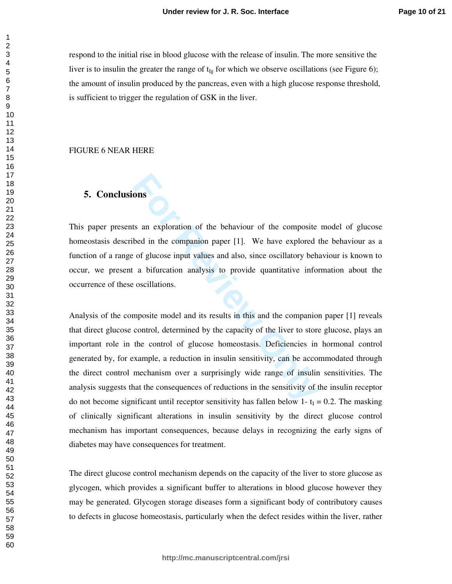respond to the initial rise in blood glucose with the release of insulin. The more sensitive the liver is to insulin the greater the range of  $t_{\text{Ig}}$  for which we observe oscillations (see Figure 6); the amount of insulin produced by the pancreas, even with a high glucose response threshold, is sufficient to trigger the regulation of GSK in the liver.

#### FIGURE 6 NEAR HERE

# **5. Conclusions**

This paper presents an exploration of the behaviour of the composite model of glucose homeostasis described in the companion paper [1]. We have explored the behaviour as a function of a range of glucose input values and also, since oscillatory behaviour is known to occur, we present a bifurcation analysis to provide quantitative information about the occurrence of these oscillations.

**Formular Solution** of the behaviour of the composite<br>bed in the companion paper [1]. We have explored<br>of glucose input values and also, since oscillatory beh<br>a bifurcation analysis to provide quantitative info<br>oscillation Analysis of the composite model and its results in this and the companion paper [1] reveals that direct glucose control, determined by the capacity of the liver to store glucose, plays an important role in the control of glucose homeostasis. Deficiencies in hormonal control generated by, for example, a reduction in insulin sensitivity, can be accommodated through the direct control mechanism over a surprisingly wide range of insulin sensitivities. The analysis suggests that the consequences of reductions in the sensitivity of the insulin receptor do not become significant until receptor sensitivity has fallen below 1- $t_I = 0.2$ . The masking of clinically significant alterations in insulin sensitivity by the direct glucose control mechanism has important consequences, because delays in recognizing the early signs of diabetes may have consequences for treatment.

The direct glucose control mechanism depends on the capacity of the liver to store glucose as glycogen, which provides a significant buffer to alterations in blood glucose however they may be generated. Glycogen storage diseases form a significant body of contributory causes to defects in glucose homeostasis, particularly when the defect resides within the liver, rather

 $\mathbf{1}$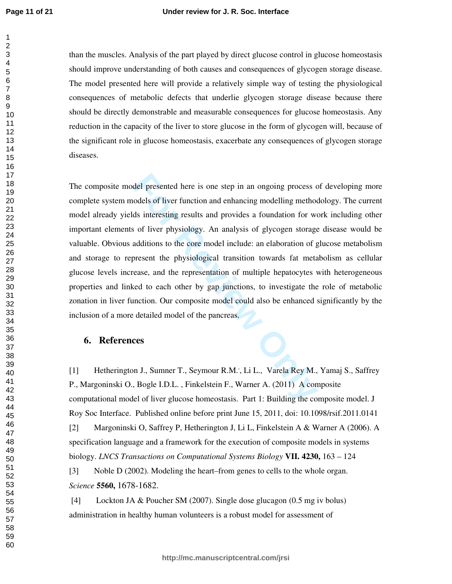than the muscles. Analysis of the part played by direct glucose control in glucose homeostasis should improve understanding of both causes and consequences of glycogen storage disease. The model presented here will provide a relatively simple way of testing the physiological consequences of metabolic defects that underlie glycogen storage disease because there should be directly demonstrable and measurable consequences for glucose homeostasis. Any reduction in the capacity of the liver to store glucose in the form of glycogen will, because of the significant role in glucose homeostasis, exacerbate any consequences of glycogen storage diseases.

del presented here is one step in an ongoing process codels of liver function and enhancing modelling methods interesting results and provides a foundation for we of liver physiology. An analysis of glycogen storage additi The composite model presented here is one step in an ongoing process of developing more complete system models of liver function and enhancing modelling methodology. The current model already yields interesting results and provides a foundation for work including other important elements of liver physiology. An analysis of glycogen storage disease would be valuable. Obvious additions to the core model include: an elaboration of glucose metabolism and storage to represent the physiological transition towards fat metabolism as cellular glucose levels increase, and the representation of multiple hepatocytes with heterogeneous properties and linked to each other by gap junctions, to investigate the role of metabolic zonation in liver function. Our composite model could also be enhanced significantly by the inclusion of a more detailed model of the pancreas.

# **6. References**

[1] Hetherington J., Sumner T., Seymour R.M.', Li L., Varela Rey M., Yamaj S., Saffrey P., Margoninski O., Bogle I.D.L. , Finkelstein F., Warner A. (2011) A composite computational model of liver glucose homeostasis. Part 1: Building the composite model. J Roy Soc Interface. Published online before print June 15, 2011, doi: 10.1098/rsif.2011.0141

[2] Margoninski O, Saffrey P, Hetherington J, Li L, Finkelstein A & Warner A (2006). A specification language and a framework for the execution of composite models in systems biology. *LNCS Transactions on Computational Systems Biology* **VII. 4230,** 163 – 124

[3] Noble D (2002). Modeling the heart–from genes to cells to the whole organ. *Science* **5560,** 1678-1682.

 [4] Lockton JA & Poucher SM (2007). Single dose glucagon (0.5 mg iv bolus) administration in healthy human volunteers is a robust model for assessment of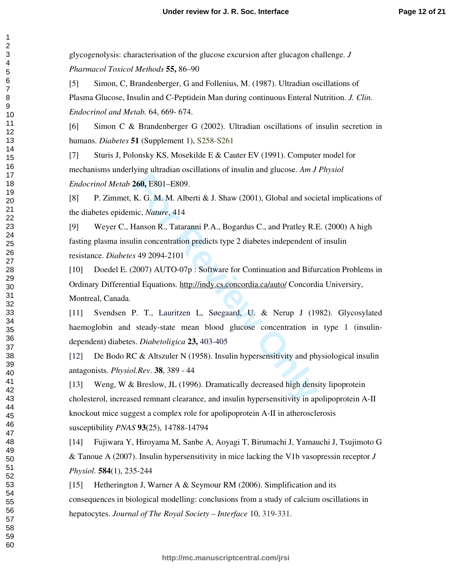glycogenolysis: characterisation of the glucose excursion after glucagon challenge. *J Pharmacol Toxicol Methods* **55,** 86–90

[5] Simon, C, Brandenberger, G and Follenius, M. (1987). Ultradian oscillations of Plasma Glucose, Insulin and C-Peptidein Man during continuous Enteral Nutrition. *J. Clin. Endocrinol and Metab.* 64, 669- 674.

[6] Simon C & Brandenberger G (2002). Ultradian oscillations of insulin secretion in humans. *Diabetes* **51** (Supplement 1), S258-S261

[7] Sturis J, Polonsky KS, Mosekilde E & Cauter EV (1991). Computer model for mechanisms underlying ultradian oscillations of insulin and glucose. *Am J Physiol Endocrinol Metab* **260,** E801–E809.

[8] P. Zimmet, K. G. M. M. Alberti & J. Shaw (2001), Global and societal implications of the diabetes epidemic, *Nature*, 414

[9] Weyer C., Hanson R., Tataranni P.A., Bogardus C., and Pratley R.E. (2000) A high fasting plasma insulin concentration predicts type 2 diabetes independent of insulin resistance. *Diabetes* 49 2094-2101

[10] Doedel E. (2007) AUTO-07p : Software for Continuation and Bifurcation Problems in Ordinary Differential Equations. http://indy.cs.concordia.ca/auto/ Concordia Universiry, Montreal, Canada.

**Example 1880**.<br> **For Review Concilic, Nature, 414**<br> **For Review Andres For Review Conditions R., Tataranni P.A., Bogardus C., and Pratley R.I**<br> **For Review Only A. For Review Only Concentration**<br> **For Review Only A. S** [11] Svendsen P. T., Lauritzen L, Søegaard, U. & Nerup J (1982). Glycosylated haemoglobin and steady-state mean blood glucose concentration in type 1 (insulindependent) diabetes. *Diabetoligica* **23,** 403-405

[12] De Bodo RC & Altszuler N (1958). Insulin hypersensitivity and physiological insulin antagonists. *Physiol.Rev*. **38**, 389 - 44

[13] Weng, W & Breslow, JL (1996). Dramatically decreased high density lipoprotein cholesterol, increased remnant clearance, and insulin hypersensitivity in apolipoprotein A-II knockout mice suggest a complex role for apolipoprotein A-II in atherosclerosis susceptibility *PNAS* **93**(25), 14788-14794

[14] Fujiwara Y, Hiroyama M, Sanbe A, Aoyagi T, Birumachi J, Yamauchi J, Tsujimoto G & Tanoue A (2007). Insulin hypersensitivity in mice lacking the V1b vasopressin receptor *J Physiol*. **584**(1), 235-244

[15] Hetherington J, Warner A & Seymour RM (2006). Simplification and its consequences in biological modelling: conclusions from a study of calcium oscillations in hepatocytes. *Journal of The Royal Society – Interface* 10, 319-331.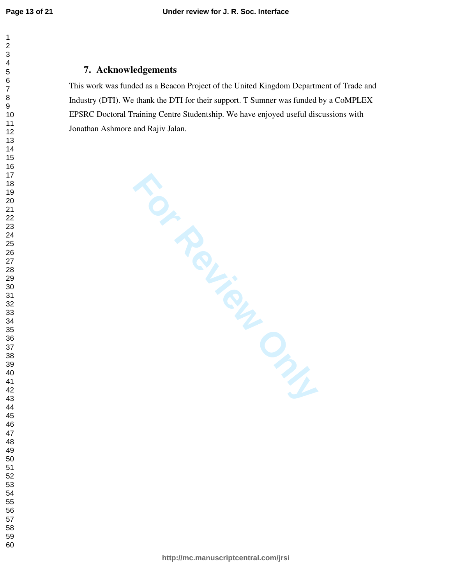$\mathbf{1}$ 

# **7. Acknowledgements**

This work was funded as a Beacon Project of the United Kingdom Department of Trade and Industry (DTI). We thank the DTI for their support. T Sumner was funded by a CoMPLEX EPSRC Doctoral Training Centre Studentship. We have enjoyed useful discussions with Jonathan Ashmore and Rajiv Jalan.

**For Review Only**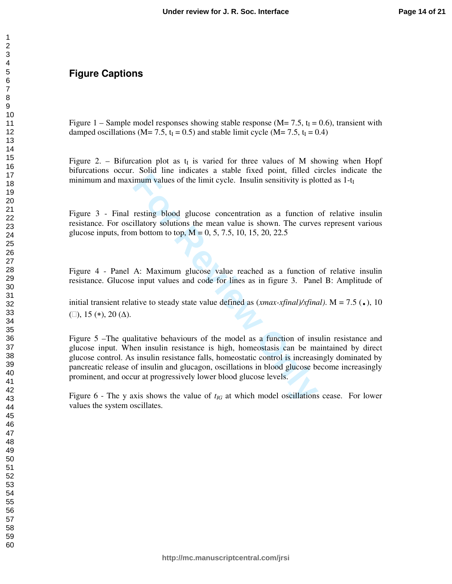# **Figure Captions**

Figure 1 – Sample model responses showing stable response ( $M = 7.5$ ,  $t<sub>I</sub> = 0.6$ ), transient with damped oscillations ( $M = 7.5$ ,  $t_I = 0.5$ ) and stable limit cycle ( $M = 7.5$ ,  $t_I = 0.4$ )

Figure 2. – Bifurcation plot as  $t_I$  is varied for three values of M showing when Hopf bifurcations occur. Solid line indicates a stable fixed point, filled circles indicate the minimum and maximum values of the limit cycle. Insulin sensitivity is plotted as 1-t I

Figure 3 - Final resting blood glucose concentration as a function of relative insulin resistance. For oscillatory solutions the mean value is shown. The curves represent various glucose inputs, from bottom to top,  $M = 0, 5, 7.5, 10, 15, 20, 22.5$ 

Figure 4 - Panel A: Maximum glucose value reached as a function of relative insulin resistance. Glucose input values and code for lines as in figure 3. Panel B: Amplitude of

initial transient relative to steady state value defined as (*xmax-xfinal)/xfinal)*. M = 7.5 ( .), 10  $($ [0, 15  $(*), 20$   $($ Δ $).$ 

Forman Paradies and Subsemburn values of the limit cycle. Insulin sensitivity is ploman values of the limit cycle. Insulin sensitivity is ploman illatory solutions the mean value is shown. The curve in bottom to top,  $M =$ Figure 5 –The qualitative behaviours of the model as a function of insulin resistance and glucose input. When insulin resistance is high, homeostasis can be maintained by direct glucose control. As insulin resistance falls, homeostatic control is increasingly dominated by pancreatic release of insulin and glucagon, oscillations in blood glucose become increasingly prominent, and occur at progressively lower blood glucose levels.

Figure - The y axis shows the value of  $t_{IG}$  at which model oscillations cease. For lower values the system oscillates.

 $\mathbf{1}$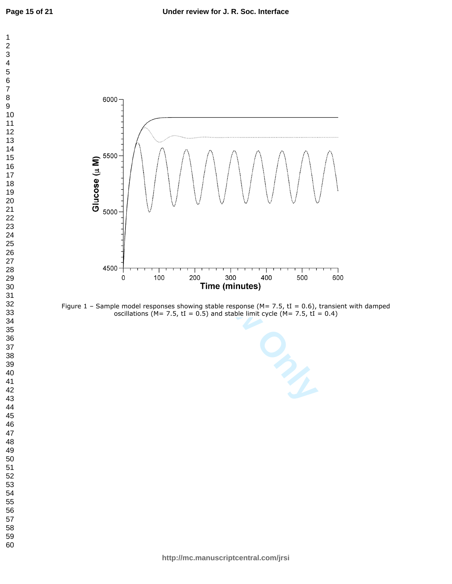

Figure 1 - Sample model responses showing stable response (M= 7.5, tI = 0.6), transient with damped oscillations (M= 7.5, tI = 0.5) and stable limit cycle (M= 7.5, tI = 0.4)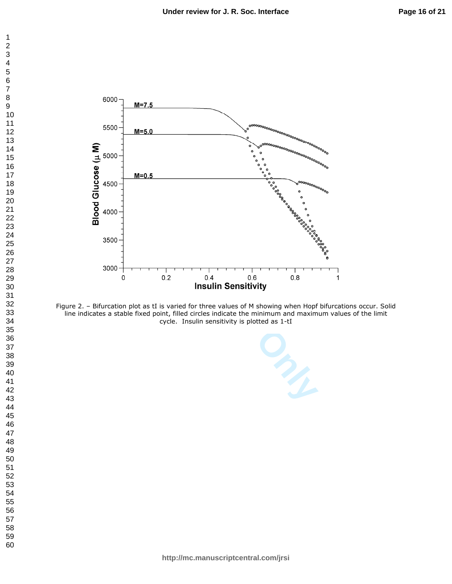



Figure 2. – Bifurcation plot as tI is varied for three values of M showing when Hopf bifurcations occur. Solid line indicates a stable fixed point, filled circles indicate the minimum and maximum values of the limit cycle. Insulin sensitivity is plotted as 1-tI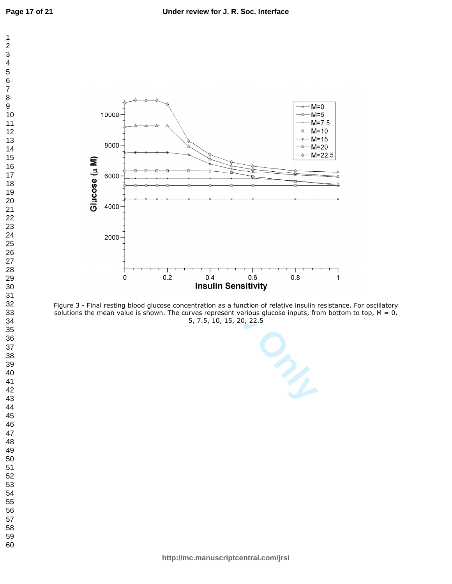$\mathbf 1$  $\overline{c}$  $\overline{\mathbf{4}}$  $\overline{7}$ 



Figure 3 - Final resting blood glucose concentration as a function of relative insulin resistance. For oscillatory solutions the mean value is shown. The curves represent various glucose inputs, from bottom to top,  $M = 0$ , 5, 7.5, 10, 15, 20, 22.5

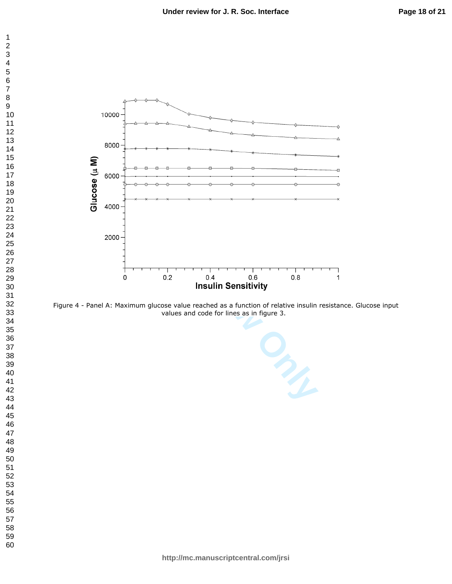

Figure 4 - Panel A: Maximum glucose value reached as a function of relative insulin resistance. Glucose input values and code for lines as in figure 3.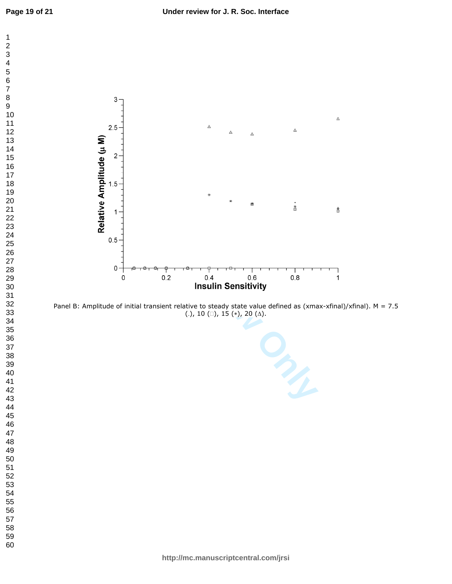$\mathbf 1$  $\overline{c}$  $\overline{\mathbf{4}}$  $\overline{7}$ 



Panel B: Amplitude of initial transient relative to steady state value defined as (xmax-xfinal)/xfinal). M = 7.5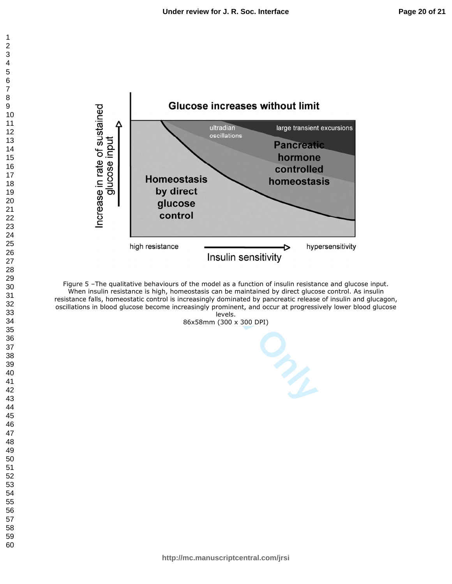

Figure 5 –The qualitative behaviours of the model as a function of insulin resistance and glucose input. When insulin resistance is high, homeostasis can be maintained by direct glucose control. As insulin resistance falls, homeostatic control is increasingly dominated by pancreatic release of insulin and glucagon, oscillations in blood glucose become increasingly prominent, and occur at progressively lower blood glucose levels.

86x58mm (300 x 300 DPI)